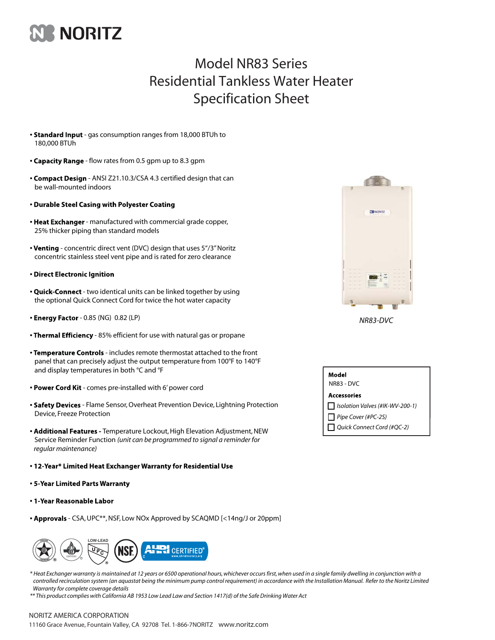

## Model NR83 Series Residential Tankless Water Heater Specification Sheet

- Standard Input gas consumption ranges from 18,000 BTUh to 180,000 BTUh
- Capacity Range flow rates from 0.5 gpm up to 8.3 gpm
- Compact Design ANSI Z21.10.3/CSA 4.3 certified design that can be wall-mounted indoors
- Durable Steel Casing with Polyester Coating
- Heat Exchanger manufactured with commercial grade copper, 25% thicker piping than standard models
- Venting concentric direct vent (DVC) design that uses 5"/3" Noritz concentric stainless steel vent pipe and is rated for zero clearance
- · Direct Electronic Ignition
- Quick-Connect two identical units can be linked together by using the optional Quick Connect Cord for twice the hot water capacity
- Energy Factor 0.85 (NG) 0.82 (LP)
- Thermal Efficiency 85% efficient for use with natural gas or propane
- Temperature Controls includes remote thermostat attached to the front panel that can precisely adjust the output temperature from 100°F to 140°F and display temperatures in both °C and °F
- Power Cord Kit comes pre-installed with 6' power cord
- Safety Devices Flame Sensor, Overheat Prevention Device, Lightning Protection Device, Freeze Protection
- Additional Features Temperature Lockout, High Elevation Adjustment, NEW Service Reminder Function *(unit can be programmed to signal a reminder for regular maintenance)*
- . 12-Year\* Limited Heat Exchanger Warranty for Residential Use
- 5-Year Limited Parts Warranty
- 1-Year Reasonable Labor
- Approvals CSA, UPC\*\*, NSF, Low NOx Approved by SCAQMD [<14ng/J or 20ppm]



*\* Heat Exchanger warranty is maintained at 12 years or 6500 operational hours, whichever occurs first, when used in a single family dwelling in conjunction with a controlled recirculation system (an aquastat being the minimum pump control requirement) in accordance with the Installation Manual. Refer to the Noritz Limited Warranty for complete coverage details*

*\*\* This product complies with California AB 1953 Low Lead Law and Section 1417(d) of the Safe Drinking Water Act*



| Model<br>NR83 - DVC             |  |
|---------------------------------|--|
| Accessories                     |  |
| Isolation Valves (#IK-WV-200-1) |  |
| Pipe Cover (#PC-2S)             |  |
| Quick Connect Cord (#QC-2)      |  |